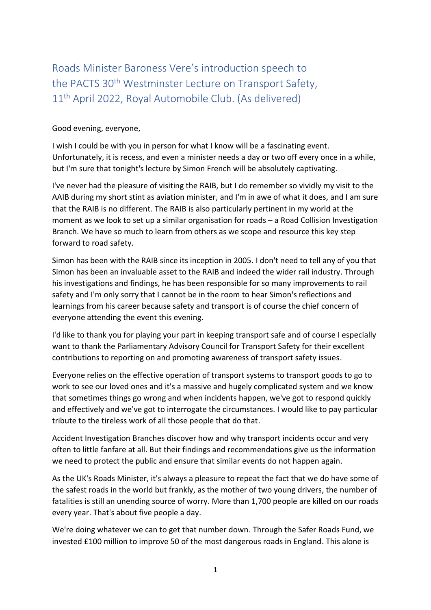Roads Minister Baroness Vere's introduction speech to the PACTS 30<sup>th</sup> Westminster Lecture on Transport Safety, 11th April 2022, Royal Automobile Club. (As delivered)

## Good evening, everyone,

I wish I could be with you in person for what I know will be a fascinating event. Unfortunately, it is recess, and even a minister needs a day or two off every once in a while, but I'm sure that tonight's lecture by Simon French will be absolutely captivating.

I've never had the pleasure of visiting the RAIB, but I do remember so vividly my visit to the AAIB during my short stint as aviation minister, and I'm in awe of what it does, and I am sure that the RAIB is no different. The RAIB is also particularly pertinent in my world at the moment as we look to set up a similar organisation for roads – a Road Collision Investigation Branch. We have so much to learn from others as we scope and resource this key step forward to road safety.

Simon has been with the RAIB since its inception in 2005. I don't need to tell any of you that Simon has been an invaluable asset to the RAIB and indeed the wider rail industry. Through his investigations and findings, he has been responsible for so many improvements to rail safety and I'm only sorry that I cannot be in the room to hear Simon's reflections and learnings from his career because safety and transport is of course the chief concern of everyone attending the event this evening.

I'd like to thank you for playing your part in keeping transport safe and of course I especially want to thank the Parliamentary Advisory Council for Transport Safety for their excellent contributions to reporting on and promoting awareness of transport safety issues.

Everyone relies on the effective operation of transport systems to transport goods to go to work to see our loved ones and it's a massive and hugely complicated system and we know that sometimes things go wrong and when incidents happen, we've got to respond quickly and effectively and we've got to interrogate the circumstances. I would like to pay particular tribute to the tireless work of all those people that do that.

Accident Investigation Branches discover how and why transport incidents occur and very often to little fanfare at all. But their findings and recommendations give us the information we need to protect the public and ensure that similar events do not happen again.

As the UK's Roads Minister, it's always a pleasure to repeat the fact that we do have some of the safest roads in the world but frankly, as the mother of two young drivers, the number of fatalities is still an unending source of worry. More than 1,700 people are killed on our roads every year. That's about five people a day.

We're doing whatever we can to get that number down. Through the Safer Roads Fund, we invested £100 million to improve 50 of the most dangerous roads in England. This alone is